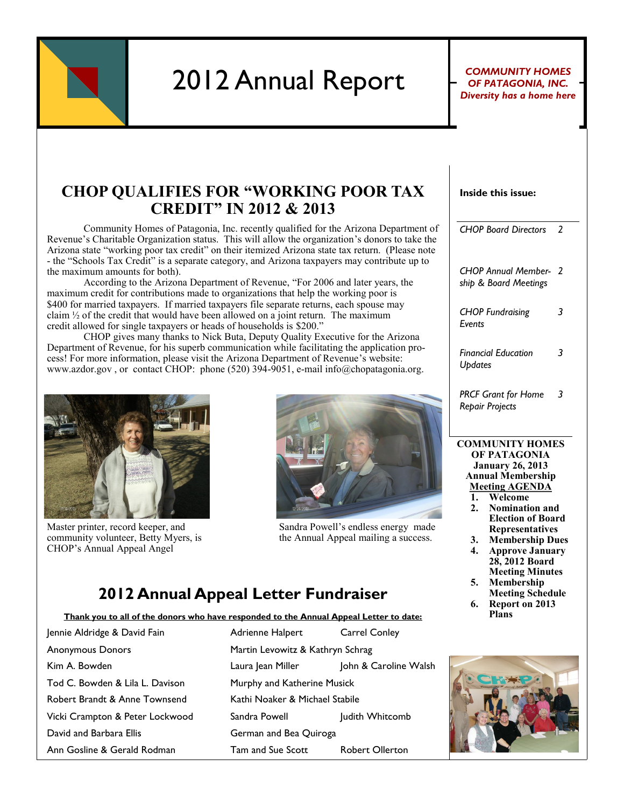

# 2012 Annual Report For PATAGONIA, INC.

*OF PATAGONIA, INC. Diversity has a home here*

### **CHOP QUALIFIES FOR "WORKING POOR TAX CREDIT" IN 2012 & 2013**

Community Homes of Patagonia, Inc. recently qualified for the Arizona Department of Revenue's Charitable Organization status. This will allow the organization's donors to take the Arizona state "working poor tax credit" on their itemized Arizona state tax return. (Please note - the "Schools Tax Credit" is a separate category, and Arizona taxpayers may contribute up to the maximum amounts for both).

According to the Arizona Department of Revenue, "For 2006 and later years, the maximum credit for contributions made to organizations that help the working poor is \$400 for married taxpayers. If married taxpayers file separate returns, each spouse may claim  $\frac{1}{2}$  of the credit that would have been allowed on a joint return. The maximum credit allowed for single taxpayers or heads of households is \$200."

CHOP gives many thanks to Nick Buta, Deputy Quality Executive for the Arizona Department of Revenue, for his superb communication while facilitating the application process! For more information, please visit the Arizona Department of Revenue's website: www.azdor.gov , or contact CHOP: phone (520) 394-9051, e-mail info@chopatagonia.org.



Master printer, record keeper, and community volunteer, Betty Myers, is CHOP's Annual Appeal Angel



Sandra Powell's endless energy made the Annual Appeal mailing a success.

# **2012 Annual Appeal Letter Fundraiser**

#### **Thank you to all of the donors who have responded to the Annual Appeal Letter to date:**

| Jennie Aldridge & David Fain    | Adrienne Halpert                 | <b>Carrel Conley</b>   |
|---------------------------------|----------------------------------|------------------------|
| <b>Anonymous Donors</b>         | Martin Levowitz & Kathryn Schrag |                        |
| Kim A. Bowden                   | Laura Jean Miller                | John & Caroline Walsh  |
| Tod C. Bowden & Lila L. Davison | Murphy and Katherine Musick      |                        |
| Robert Brandt & Anne Townsend   | Kathi Noaker & Michael Stabile   |                        |
| Vicki Crampton & Peter Lockwood | Sandra Powell                    | Judith Whitcomb        |
| David and Barbara Ellis         | German and Bea Quiroga           |                        |
| Ann Gosline & Gerald Rodman     | Tam and Sue Scott                | <b>Robert Ollerton</b> |

#### **Inside this issue:**

| <b>COMMUNITY HOMES</b><br>OF PATAGONIA              |     |  |  |
|-----------------------------------------------------|-----|--|--|
| <b>PRCF Grant for Home</b><br>Repair Projects       | 3   |  |  |
| Financial Education<br>Updates                      | 3   |  |  |
| <b>CHOP Fundraising</b><br>Events                   | 3   |  |  |
| <b>CHOP Annual Member-</b><br>ship & Board Meetings | - 2 |  |  |
| <b>CHOP Board Directors</b>                         | 2   |  |  |

**January 26, 2013 Annual Membership Meeting AGENDA**

- **1. Welcome**
- **2. Nomination and Election of Board Representatives**
- **3. Membership Dues 4. Approve January**
- **28, 2012 Board Meeting Minutes**
- **5. Membership Meeting Schedule**
- **6. Report on 2013 Plans**

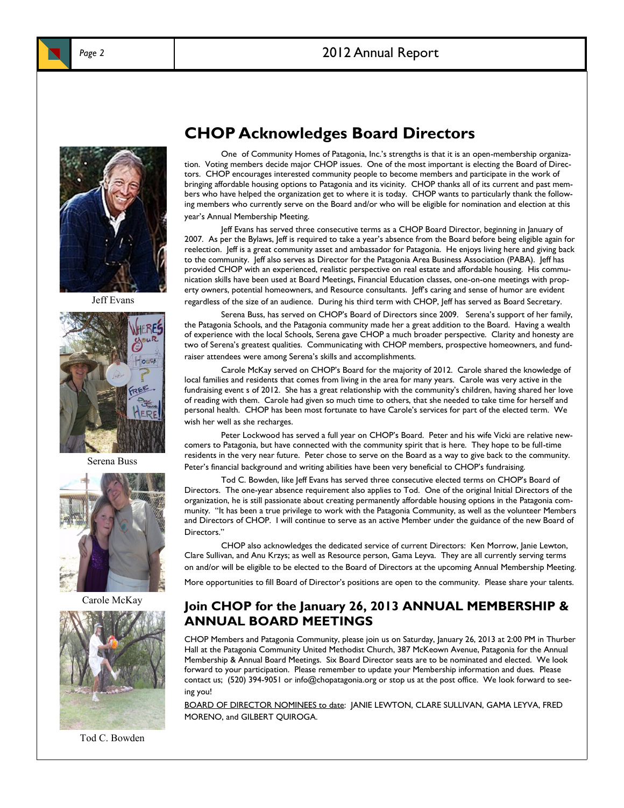

#### Page 2 2012 Annual Report



Jeff Evans



Serena Buss



Carole McKay



Tod C. Bowden

### **CHOP Acknowledges Board Directors**

One of Community Homes of Patagonia, Inc.'s strengths is that it is an open-membership organization. Voting members decide major CHOP issues. One of the most important is electing the Board of Directors. CHOP encourages interested community people to become members and participate in the work of bringing affordable housing options to Patagonia and its vicinity. CHOP thanks all of its current and past members who have helped the organization get to where it is today. CHOP wants to particularly thank the following members who currently serve on the Board and/or who will be eligible for nomination and election at this year's Annual Membership Meeting.

Jeff Evans has served three consecutive terms as a CHOP Board Director, beginning in January of 2007. As per the Bylaws, Jeff is required to take a year's absence from the Board before being eligible again for reelection. Jeff is a great community asset and ambassador for Patagonia. He enjoys living here and giving back to the community. Jeff also serves as Director for the Patagonia Area Business Association (PABA). Jeff has provided CHOP with an experienced, realistic perspective on real estate and affordable housing. His communication skills have been used at Board Meetings, Financial Education classes, one-on-one meetings with property owners, potential homeowners, and Resource consultants. Jeff's caring and sense of humor are evident regardless of the size of an audience. During his third term with CHOP, Jeff has served as Board Secretary.

Serena Buss, has served on CHOP's Board of Directors since 2009. Serena's support of her family, the Patagonia Schools, and the Patagonia community made her a great addition to the Board. Having a wealth of experience with the local Schools, Serena gave CHOP a much broader perspective. Clarity and honesty are two of Serena's greatest qualities. Communicating with CHOP members, prospective homeowners, and fundraiser attendees were among Serena's skills and accomplishments.

Carole McKay served on CHOP's Board for the majority of 2012. Carole shared the knowledge of local families and residents that comes from living in the area for many years. Carole was very active in the fundraising event s of 2012. She has a great relationship with the community's children, having shared her love of reading with them. Carole had given so much time to others, that she needed to take time for herself and personal health. CHOP has been most fortunate to have Carole's services for part of the elected term. We wish her well as she recharges.

Peter Lockwood has served a full year on CHOP's Board. Peter and his wife Vicki are relative newcomers to Patagonia, but have connected with the community spirit that is here. They hope to be full-time residents in the very near future. Peter chose to serve on the Board as a way to give back to the community. Peter's financial background and writing abilities have been very beneficial to CHOP's fundraising.

Tod C. Bowden, like Jeff Evans has served three consecutive elected terms on CHOP's Board of Directors. The one-year absence requirement also applies to Tod. One of the original Initial Directors of the organization, he is still passionate about creating permanently affordable housing options in the Patagonia community. "It has been a true privilege to work with the Patagonia Community, as well as the volunteer Members and Directors of CHOP. I will continue to serve as an active Member under the guidance of the new Board of Directors."

CHOP also acknowledges the dedicated service of current Directors: Ken Morrow, Janie Lewton, Clare Sullivan, and Anu Krzys; as well as Resource person, Gama Leyva. They are all currently serving terms on and/or will be eligible to be elected to the Board of Directors at the upcoming Annual Membership Meeting. More opportunities to fill Board of Director's positions are open to the community. Please share your talents.

#### **Join CHOP for the January 26, 2013 ANNUAL MEMBERSHIP & ANNUAL BOARD MEETINGS**

CHOP Members and Patagonia Community, please join us on Saturday, January 26, 2013 at 2:00 PM in Thurber Hall at the Patagonia Community United Methodist Church, 387 McKeown Avenue, Patagonia for the Annual Membership & Annual Board Meetings. Six Board Director seats are to be nominated and elected. We look forward to your participation. Please remember to update your Membership information and dues. Please contact us; (520) 394-9051 or info@chopatagonia.org or stop us at the post office. We look forward to seeing you!

BOARD OF DIRECTOR NOMINEES to date: JANIE LEWTON, CLARE SULLIVAN, GAMA LEYVA, FRED MORENO, and GILBERT QUIROGA.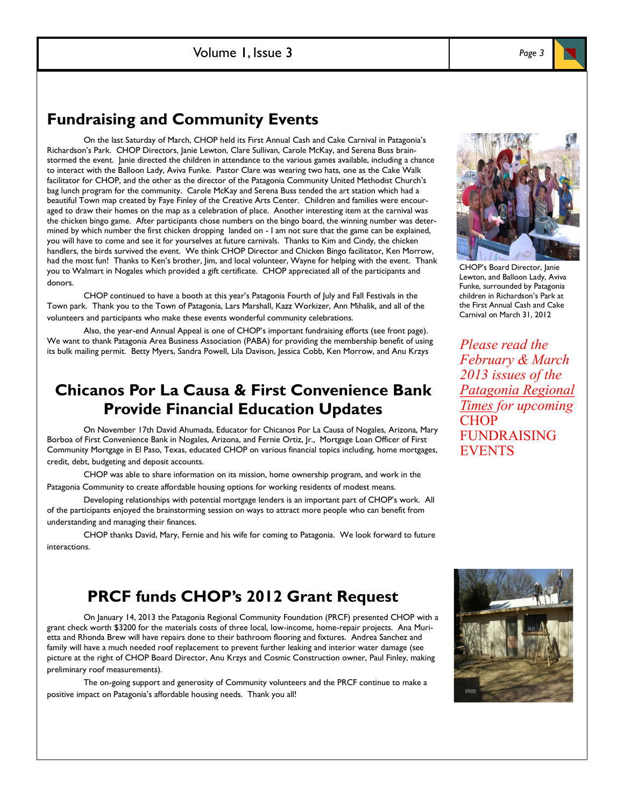Volume 1, Issue 3 and *Page 3* 

## **Fundraising and Community Events**

On the last Saturday of March, CHOP held its First Annual Cash and Cake Carnival in Patagonia's Richardson's Park. CHOP Directors, Janie Lewton, Clare Sullivan, Carole McKay, and Serena Buss brainstormed the event. Janie directed the children in attendance to the various games available, including a chance to interact with the Balloon Lady, Aviva Funke. Pastor Clare was wearing two hats, one as the Cake Walk facilitator for CHOP, and the other as the director of the Patagonia Community United Methodist Church's bag lunch program for the community. Carole McKay and Serena Buss tended the art station which had a beautiful Town map created by Faye Finley of the Creative Arts Center. Children and families were encouraged to draw their homes on the map as a celebration of place. Another interesting item at the carnival was the chicken bingo game. After participants chose numbers on the bingo board, the winning number was determined by which number the first chicken dropping landed on - I am not sure that the game can be explained, you will have to come and see it for yourselves at future carnivals. Thanks to Kim and Cindy, the chicken handlers, the birds survived the event. We think CHOP Director and Chicken Bingo facilitator, Ken Morrow, had the most fun! Thanks to Ken's brother, Jim, and local volunteer, Wayne for helping with the event. Thank you to Walmart in Nogales which provided a gift certificate. CHOP appreciated all of the participants and donors.

CHOP continued to have a booth at this year's Patagonia Fourth of July and Fall Festivals in the Town park. Thank you to the Town of Patagonia, Lars Marshall, Kazz Workizer, Ann Mihalik, and all of the volunteers and participants who make these events wonderful community celebrations.

Also, the year-end Annual Appeal is one of CHOP's important fundraising efforts (see front page). We want to thank Patagonia Area Business Association (PABA) for providing the membership benefit of using its bulk mailing permit. Betty Myers, Sandra Powell, Lila Davison, Jessica Cobb, Ken Morrow, and Anu Krzys

## **Chicanos Por La Causa & First Convenience Bank Provide Financial Education Updates**

On November 17th David Ahumada, Educator for Chicanos Por La Causa of Nogales, Arizona, Mary Borboa of First Convenience Bank in Nogales, Arizona, and Fernie Ortiz, Jr., Mortgage Loan Officer of First Community Mortgage in El Paso, Texas, educated CHOP on various financial topics including, home mortgages, credit, debt, budgeting and deposit accounts.

CHOP was able to share information on its mission, home ownership program, and work in the Patagonia Community to create affordable housing options for working residents of modest means.

Developing relationships with potential mortgage lenders is an important part of CHOP's work. All of the participants enjoyed the brainstorming session on ways to attract more people who can benefit from understanding and managing their finances.

CHOP thanks David, Mary, Fernie and his wife for coming to Patagonia. We look forward to future interactions.

#### **PRCF funds CHOP's 2012 Grant Request**

On January 14, 2013 the Patagonia Regional Community Foundation (PRCF) presented CHOP with a grant check worth \$3200 for the materials costs of three local, low-income, home-repair projects. Ana Murietta and Rhonda Brew will have repairs done to their bathroom flooring and fixtures. Andrea Sanchez and family will have a much needed roof replacement to prevent further leaking and interior water damage (see picture at the right of CHOP Board Director, Anu Krzys and Cosmic Construction owner, Paul Finley, making preliminary roof measurements).

The on-going support and generosity of Community volunteers and the PRCF continue to make a positive impact on Patagonia's affordable housing needs. Thank you all!



*Please read the February & March 2013 issues of the Patagonia Regional Times for upcoming* **CHOP** FUNDRAISING **EVENTS**